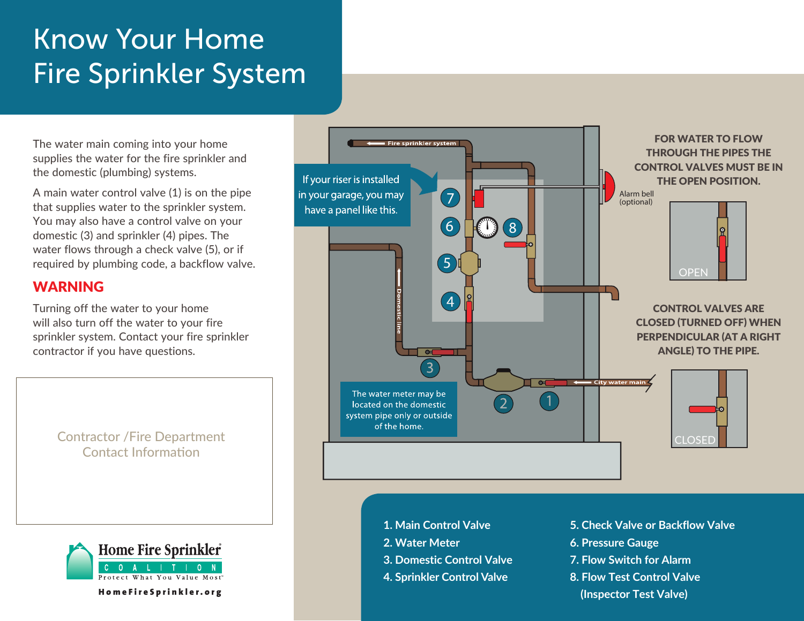# Know Your Home Fire Sprinkler System

The water main coming into your home supplies the water for the fire sprinkler and the domestic (plumbing) systems.

A main water control valve (1) is on the pipe that supplies water to the sprinkler system. You may also have a control valve on your domestic (3) and sprinkler (4) pipes. The water flows through a check valve (5), or if required by plumbing code, a backflow valve.

### WARNING

Turning off the water to your home will also turn off the water to your fire sprinkler system. Contact your fire sprinkler contractor if you have questions.

> Contractor /Fire Department Contact Information



- **1. Main Control Valve**
	- **2. Water Meter**
	- **3. Domestic Control Valve**
	- **4. Sprinkler Control Valve**
- **5. Check Valve or Backflow Valve**
- **6. Pressure Gauge**
- **7. Flow Switch for Alarm**
- **8. Flow Test Control Valve** 
	-



 **(Inspector Test Valve)** HomeFireSprinkler.org